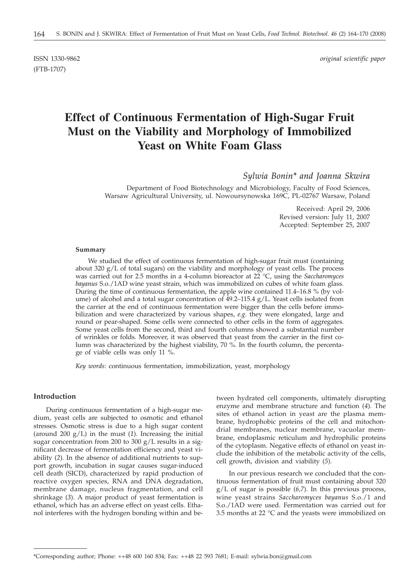(FTB-1707)

ISSN 1330-9862 *original scientific paper*

# **Effect of Continuous Fermentation of High-Sugar Fruit Must on the Viability and Morphology of Immobilized Yeast on White Foam Glass**

*Sylwia Bonin\* and Joanna Skwira*

Department of Food Biotechnology and Microbiology, Faculty of Food Sciences, Warsaw Agricultural University, ul. Nowoursynowska 169C, PL-02767 Warsaw, Poland

> Received: April 29, 2006 Revised version: July 11, 2007 Accepted: September 25, 2007

#### **Summary**

We studied the effect of continuous fermentation of high-sugar fruit must (containing about 320  $g/L$  of total sugars) on the viability and morphology of yeast cells. The process was carried out for 2.5 months in a 4-column bioreactor at 22 °C, using the *Saccharomyces bayanus* S.o./1AD wine yeast strain, which was immobilized on cubes of white foam glass. During the time of continuous fermentation, the apple wine contained 11.4–16.8 % (by volume) of alcohol and a total sugar concentration of  $49.2-115.4$  g/L. Yeast cells isolated from the carrier at the end of continuous fermentation were bigger than the cells before immobilization and were characterized by various shapes, *e.g.* they were elongated, large and round or pear-shaped. Some cells were connected to other cells in the form of aggregates. Some yeast cells from the second, third and fourth columns showed a substantial number of wrinkles or folds. Moreover, it was observed that yeast from the carrier in the first column was characterized by the highest viability, 70 %. In the fourth column, the percentage of viable cells was only 11 %.

*Key words*: continuous fermentation, immobilization, yeast, morphology

## **Introduction**

During continuous fermentation of a high-sugar medium, yeast cells are subjected to osmotic and ethanol stresses. Osmotic stress is due to a high sugar content (around 200  $g/L$ ) in the must (1). Increasing the initial sugar concentration from 200 to 300 g/L results in a significant decrease of fermentation efficiency and yeast viability (*2*). In the absence of additional nutrients to support growth, incubation in sugar causes sugar-induced cell death (SICD), characterized by rapid production of reactive oxygen species, RNA and DNA degradation, membrane damage, nucleus fragmentation, and cell shrinkage (*3*). A major product of yeast fermentation is ethanol, which has an adverse effect on yeast cells. Ethanol interferes with the hydrogen bonding within and be-

tween hydrated cell components, ultimately disrupting enzyme and membrane structure and function (*4*)*.* The sites of ethanol action in yeast are the plasma membrane, hydrophobic proteins of the cell and mitochondrial membranes, nuclear membrane, vacuolar membrane, endoplasmic reticulum and hydrophilic proteins of the cytoplasm. Negative effects of ethanol on yeast include the inhibition of the metabolic activity of the cells, cell growth, division and viability (*5*)*.*

In our previous research we concluded that the continuous fermentation of fruit must containing about 320 g/L of sugar is possible (*6,7*). In this previous process, wine yeast strains *Saccharomyces bayanus* S.o./1 and S.o./1AD were used. Fermentation was carried out for 3.5 months at 22 °C and the yeasts were immobilized on

<sup>\*</sup>Corresponding author; Phone: ++48 600 160 834; Fax: ++48 22 593 7681; E-mail: sylwia.bon*@*gmail.com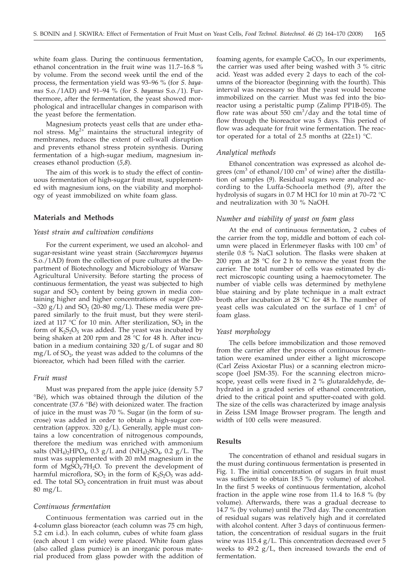white foam glass. During the continuous fermentation, ethanol concentration in the fruit wine was 11.7–16.8 % by volume. From the second week until the end of the process, the fermentation yield was 93–96 % (for *S. bayanus* S.o./1AD) and 91–94 % (for *S. bayanus* S.o./1). Furthermore, after the fermentation, the yeast showed morphological and intracellular changes in comparison with the yeast before the fermentation.

Magnesium protects yeast cells that are under ethanol stress.  $Mg^{2+}$  maintains the structural integrity of membranes, reduces the extent of cell-wall disruption and prevents ethanol stress protein synthesis. During fermentation of a high-sugar medium, magnesium increases ethanol production (*5,8*).

The aim of this work is to study the effect of continuous fermentation of high-sugar fruit must, supplemented with magnesium ions, on the viability and morphology of yeast immobilized on white foam glass.

## **Materials and Methods**

## *Yeast strain and cultivation conditions*

For the current experiment, we used an alcohol- and sugar-resistant wine yeast strain (*Saccharomyces bayanus* S.o./1AD) from the collection of pure cultures at the Department of Biotechnology and Microbiology of Warsaw Agricultural University. Before starting the process of continuous fermentation, the yeast was subjected to high sugar and  $SO<sub>2</sub>$  content by being grown in media containing higher and higher concentrations of sugar (200–  $-320$  g/L) and SO<sub>2</sub> (20–80 mg/L). These media were prepared similarly to the fruit must, but they were sterilized at 117 °C for 10 min. After sterilization,  $SO_2$  in the form of  $K_2S_2O_5$  was added. The yeast was incubated by being shaken at 200 rpm and 28 °C for 48 h. After incubation in a medium containing 320 g/L of sugar and 80  $mg/L$  of  $SO<sub>2</sub>$ , the yeast was added to the columns of the bioreactor, which had been filled with the carrier.

#### *Fruit must*

Must was prepared from the apple juice (density 5.7 °Bé), which was obtained through the dilution of the concentrate (37.6 °Bé) with deionized water. The fraction of juice in the must was 70 %. Sugar (in the form of sucrose) was added in order to obtain a high-sugar concentration (approx. 320  $g/L$ ). Generally, apple must contains a low concentration of nitrogenous compounds, therefore the medium was enriched with ammonium salts  $(NH_4)_2HPO_4$ , 0.3 g/L and  $(NH_4)_2SO_4$ , 0.2 g/L. The must was supplemented with 20 mM magnesium in the form of MgSO<sub>4</sub>·7H<sub>2</sub>O. To prevent the development of harmful microflora,  $SO_2$  in the form of  $K_2S_2O_5$  was added. The total  $SO<sub>2</sub>$  concentration in fruit must was about 80 mg/L.

#### *Continuous fermentation*

Continuous fermentation was carried out in the 4-column glass bioreactor (each column was 75 cm high, 5.2 cm i.d.). In each column, cubes of white foam glass (each about 1 cm wide) were placed. White foam glass (also called glass pumice) is an inorganic porous material produced from glass powder with the addition of foaming agents, for example  $CaCO<sub>3</sub>$ . In our experiments, the carrier was used after being washed with 3 % citric acid. Yeast was added every 2 days to each of the columns of the bioreactor (beginning with the fourth). This interval was necessary so that the yeast would become immobilized on the carrier. Must was fed into the bioreactor using a peristaltic pump (Zalimp PP1B-05). The flow rate was about 550  $\text{cm}^3/\text{day}$  and the total time of flow through the bioreactor was 5 days. This period of flow was adequate for fruit wine fermentation. The reactor operated for a total of 2.5 months at  $(22\pm 1)$  °C.

#### *Analytical methods*

Ethanol concentration was expressed as alcohol degrees (cm<sup>3</sup> of ethanol/100 cm<sup>3</sup> of wine) after the distillation of samples (*9*). Residual sugars were analyzed according to the Luffa-Schoorla method (*9*), after the hydrolysis of sugars in 0.7 M HCl for 10 min at 70–72 °C and neutralization with 30 % NaOH.

#### *Number and viability of yeast on foam glass*

At the end of continuous fermentation, 2 cubes of the carrier from the top, middle and bottom of each column were placed in Erlenmeyer flasks with  $100 \text{ cm}^3$  of sterile 0.8 % NaCl solution. The flasks were shaken at 200 rpm at 28 °C for 2 h to remove the yeast from the carrier. The total number of cells was estimated by direct microscopic counting using a haemocytometer. The number of viable cells was determined by methylene blue staining and by plate technique in a malt extract broth after incubation at 28 °C for 48 h. The number of yeast cells was calculated on the surface of  $1 \text{ cm}^2$  of foam glass.

#### *Yeast morphology*

The cells before immobilization and those removed from the carrier after the process of continuous fermentation were examined under either a light microscope (Carl Zeiss Axiostar Plus) or a scanning electron microscope (Joel JSM-35). For the scanning electron microscope, yeast cells were fixed in 2 % glutaraldehyde, dehydrated in a graded series of ethanol concentration, dried to the critical point and sputter-coated with gold. The size of the cells was characterized by image analysis in Zeiss LSM Image Browser program. The length and width of 100 cells were measured.

### **Results**

The concentration of ethanol and residual sugars in the must during continuous fermentation is presented in Fig. 1. The initial concentration of sugars in fruit must was sufficient to obtain 18.5 % (by volume) of alcohol. In the first 5 weeks of continuous fermentation, alcohol fraction in the apple wine rose from 11.4 to 16.8 % (by volume). Afterwards, there was a gradual decrease to 14.7 % (by volume) until the 73rd day. The concentration of residual sugars was relatively high and it correlated with alcohol content. After 3 days of continuous fermentation, the concentration of residual sugars in the fruit wine was 115.4 g/L. This concentration decreased over 5 weeks to 49.2  $g/L$ , then increased towards the end of fermentation.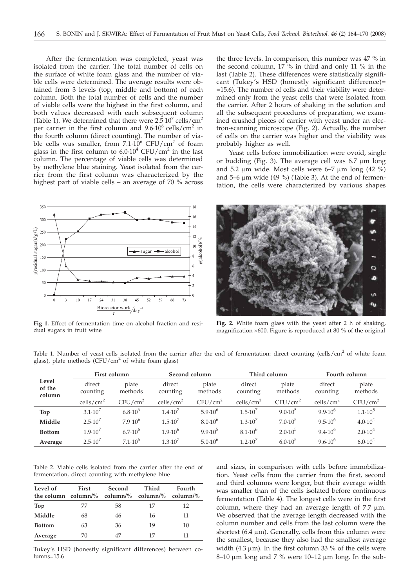After the fermentation was completed, yeast was isolated from the carrier. The total number of cells on the surface of white foam glass and the number of viable cells were determined. The average results were obtained from 3 levels (top, middle and bottom) of each column. Both the total number of cells and the number of viable cells were the highest in the first column, and both values decreased with each subsequent column (Table 1). We determined that there were  $2.\overline{5}\cdot10^7$  cells/cm<sup>2</sup> per carrier in the first column and  $9.6 \cdot 10^6$  cells/cm<sup>2</sup> in the fourth column (direct counting). The number of viable cells was smaller, from  $7.1 \cdot 10^6$  CFU/cm<sup>2</sup> of foam glass in the first column to  $6.0 \cdot 10^4$  CFU/cm<sup>2</sup> in the last column. The percentage of viable cells was determined by methylene blue staining. Yeast isolated from the carrier from the first column was characterized by the highest part of viable cells – an average of 70 % across



**Fig 1.** Effect of fermentation time on alcohol fraction and residual sugars in fruit wine

the three levels. In comparison, this number was 47 % in the second column,  $17\frac{6}{10}$  in third and only 11 % in the last (Table 2). These differences were statistically significant (Tukey's HSD (honestly significant difference)= =15.6). The number of cells and their viability were determined only from the yeast cells that were isolated from the carrier. After 2 hours of shaking in the solution and all the subsequent procedures of preparation, we examined crushed pieces of carrier with yeast under an electron-scanning microscope (Fig. 2). Actually, the number of cells on the carrier was higher and the viability was probably higher as well.

Yeast cells before immobilization were ovoid, single or budding (Fig. 3). The average cell was  $6.7 \mu m$  long and 5.2  $\mu$ m wide. Most cells were 6–7  $\mu$ m long (42 %) and 5–6  $\mu$ m wide (49 %) (Table 3). At the end of fermentation, the cells were characterized by various shapes



**Fig. 2.** White foam glass with the yeast after 2 h of shaking, magnification  $\times 600$ . Figure is reproduced at 80 % of the original

Table 1. Number of yeast cells isolated from the carrier after the end of fermentation: direct counting (cells/cm<sup>2</sup> of white foam glass), plate methods  $(CFU/cm^2$  of white foam glass)

| Level<br>of the<br>column | First column          |                     | Second column         |                     | Third column          |                     | Fourth column         |                     |
|---------------------------|-----------------------|---------------------|-----------------------|---------------------|-----------------------|---------------------|-----------------------|---------------------|
|                           | direct<br>counting    | plate<br>methods    | direct<br>counting    | plate<br>methods    | direct<br>counting    | plate<br>methods    | direct<br>counting    | plate<br>methods    |
|                           | cells/cm <sup>2</sup> | CFU/cm <sup>2</sup> | cells/cm <sup>2</sup> | CFU/cm <sup>2</sup> | cells/cm <sup>2</sup> | CFU/cm <sup>2</sup> | cells/cm <sup>2</sup> | CFU/cm <sup>2</sup> |
| Top                       | $3.1 \cdot 10'$       | $6.8 \cdot 10^{6}$  | 1.4.10 <sup>7</sup>   | $5.9 \cdot 10^{6}$  | $1.5 \cdot 10^{7}$    | $9.0.10^{5}$        | $9.9.10^{6}$          | $1.1 \cdot 10^5$    |
| Middle                    | $2.5 \cdot 10^7$      | $7.910^{6}$         | $1.5 \cdot 10^{7}$    | $8.0 \cdot 10^{6}$  | $1.3 \cdot 10^{7}$    | $7.0 \cdot 10^5$    | $9.5 \cdot 10^{6}$    | $4.0 \cdot 10^{4}$  |
| <b>Bottom</b>             | $1.9 \cdot 10^{7}$    | $6.7 \cdot 10^{6}$  | $1.9 \cdot 10^{6}$    | $9.9.10^{5}$        | $8.1 \cdot 10^{6}$    | $2.0 \cdot 10^{5}$  | $9.4 \cdot 10^{6}$    | $2.0 \cdot 10^{4}$  |
| Average                   | $2.5 \cdot 10^{7}$    | $7.1 \cdot 10^{6}$  | 1.3.10 <sup>7</sup>   | $5.0 \cdot 10^{6}$  | $1.2 \cdot 10^{7}$    | $6.0 \cdot 10^{5}$  | $9.6 \cdot 10^{6}$    | $6.0 \cdot 10^{4}$  |

Table 2. Viable cells isolated from the carrier after the end of fermentation, direct counting with methylene blue

| Level of<br>the column column/% column/% column/% | First | Second | Third | Fourth<br>.column/% |  |
|---------------------------------------------------|-------|--------|-------|---------------------|--|
| Top                                               | 77    | 58     | 17    | 12                  |  |
| Middle                                            | 68    | 46     | 16    | 11                  |  |
| <b>Bottom</b>                                     | 63    | 36     | 19    | 10                  |  |
| Average                                           | 70    |        | 17    |                     |  |

Tukey's HSD (honestly significant differences) between columns=15.6

and sizes, in comparison with cells before immobilization. Yeast cells from the carrier from the first, second and third columns were longer, but their average width was smaller than of the cells isolated before continuous fermentation (Table 4). The longest cells were in the first column, where they had an average length of  $7.7 \mu m$ . We observed that the average length decreased with the column number and cells from the last column were the shortest (6.4  $\mu$ m). Generally, cells from this column were the smallest, because they also had the smallest average width  $(4.3 \mu m)$ . In the first column 33 % of the cells were  $8-10 \mu m$  long and 7 % were 10-12  $\mu m$  long. In the sub-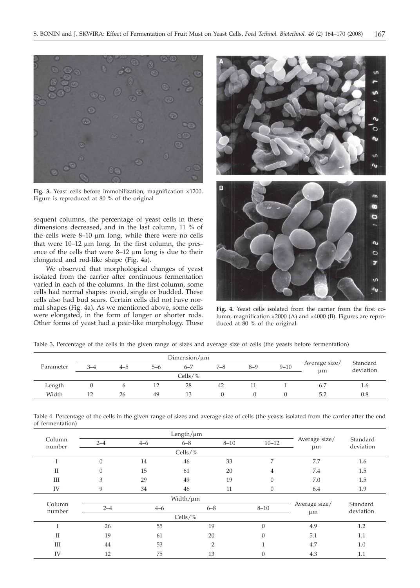

Fig. 3. Yeast cells before immobilization, magnification ×1200. Figure is reproduced at 80 % of the original

sequent columns, the percentage of yeast cells in these dimensions decreased, and in the last column, 11 % of the cells were  $8-10 \mu m$  long, while there were no cells that were  $10-12 \mu m$  long. In the first column, the presence of the cells that were  $8-12 \mu m$  long is due to their elongated and rod-like shape (Fig. 4a).

We observed that morphological changes of yeast isolated from the carrier after continuous fermentation varied in each of the columns. In the first column, some cells had normal shapes: ovoid, single or budded. These cells also had bud scars. Certain cells did not have normal shapes (Fig. 4a). As we mentioned above, some cells were elongated, in the form of longer or shorter rods. Other forms of yeast had a pear-like morphology. These



**Fig. 4.** Yeast cells isolated from the carrier from the first column, magnification  $\times 2000$  (A) and  $\times 4000$  (B). Figures are reproduced at 80 % of the original

Table 3. Percentage of the cells in the given range of sizes and average size of cells (the yeasts before fermentation)

|           | $Dimension/\mu m$ |     |     |            |         |         |          |                          |                       |
|-----------|-------------------|-----|-----|------------|---------|---------|----------|--------------------------|-----------------------|
| Parameter | $3 - 4$           | 4–5 | 5-6 | $6 - 7$    | $7 - 8$ | $8 - 9$ | $9 - 10$ | Average size/<br>$\mu$ m | Standard<br>deviation |
|           |                   |     |     | Cells/ $%$ |         |         |          |                          |                       |
| Length    |                   |     | 12  | 28         | 42      | 11      |          | 6.7                      | 1.6                   |
| Width     |                   | 26  | 49  | 13         |         |         |          | 5.2                      | 0.8                   |

Table 4. Percentage of the cells in the given range of sizes and average size of cells (the yeasts isolated from the carrier after the end of fermentation)

| Column<br>number   | $2 - 4$      | $4 - 6$ | $6 - 8$ | $8 - 10$       | $10 - 12$      | Average size/<br>$\mu$ m | Standard<br>deviation |
|--------------------|--------------|---------|---------|----------------|----------------|--------------------------|-----------------------|
|                    |              |         |         |                |                |                          |                       |
|                    | $\mathbf{0}$ | 14      | 46      | 33             | 7              | 7.7                      | 1.6                   |
| $_{\rm II}$        | $\mathbf{0}$ | 15      | 61      | 20             | $\overline{4}$ | 7.4                      | 1.5                   |
| $\mathop{\rm III}$ | 3            | 29      | 49      | 19             | $\theta$       | 7.0                      | 1.5                   |
| IV                 | 9            | 34      | 46      | 11             | $\theta$       | 6.4                      | 1.9                   |
|                    |              |         |         |                |                |                          |                       |
| Column<br>number   | $2 - 4$      | $4 - 6$ | $6 - 8$ |                | $8 - 10$       | Average size/            | Standard<br>deviation |
|                    |              |         | $\mu$ m |                |                |                          |                       |
|                    | 26           | 55      |         | 19             | $\theta$       | 4.9                      | 1.2                   |
| $\mathbf{I}$       | 19           | 61      | 20      |                | $\Omega$       | 5.1                      | 1.1                   |
| III                | 44           | 53      |         | $\overline{2}$ |                | 4.7                      | 1.0                   |
| IV                 | 12           | 75      |         | 13             | $\theta$       | 4.3                      | 1.1                   |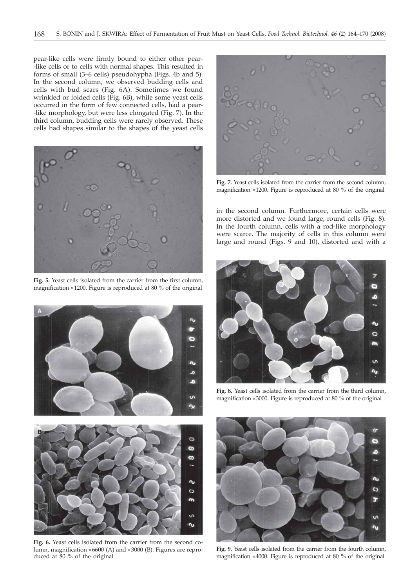pear-like cells were firmly bound to either other pear- -like cells or to cells with normal shapes. This resulted in forms of small (3–6 cells) pseudohypha (Figs. 4b and 5). In the second column, we observed budding cells and cells with bud scars (Fig. 6A). Sometimes we found wrinkled or folded cells (Fig. 6B), while some yeast cells occurred in the form of few connected cells, had a pear- -like morphology, but were less elongated (Fig. 7). In the third column, budding cells were rarely observed. These cells had shapes similar to the shapes of the yeast cells



**Fig. 5.** Yeast cells isolated from the carrier from the first column, magnification  $\times$ 1200. Figure is reproduced at 80 % of the original





**Fig. 7.** Yeast cells isolated from the carrier from the second column, magnification  $\times$ 1200. Figure is reproduced at 80 % of the original

in the second column. Furthermore, certain cells were more distorted and we found large, round cells (Fig. 8). In the fourth column, cells with a rod-like morphology were scarce. The majority of cells in this column were large and round (Figs. 9 and 10), distorted and with a



**Fig. 8.** Yeast cells isolated from the carrier from the third column, magnification  $\times 3000$ . Figure is reproduced at 80 % of the original



**Fig. 6.** Yeast cells isolated from the carrier from the second column, magnification  $\times 6600$  (A) and  $\times 3000$  (B). Figures are reproduced at 80 % of the original



**Fig. 9.** Yeast cells isolated from the carrier from the fourth column, magnification  $\times$ 4000. Figure is reproduced at 80 % of the original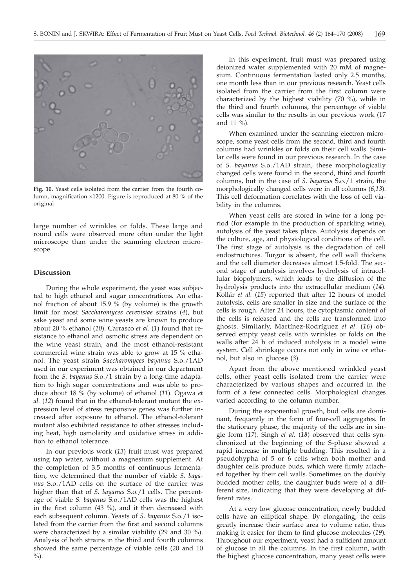

**Fig. 10.** Yeast cells isolated from the carrier from the fourth column, magnification  $\times$ 1200. Figure is reproduced at 80 % of the original

large number of wrinkles or folds. These large and round cells were observed more often under the light microscope than under the scanning electron microscope.

## **Discussion**

During the whole experiment, the yeast was subjected to high ethanol and sugar concentrations. An ethanol fraction of about 15.9  $\%$  (by volume) is the growth limit for most *Saccharomyces cerevisiae* strains (*4*), but sake yeast and some wine yeasts are known to produce about 20 % ethanol (*10*). Carrasco *et al.* (*1*) found that resistance to ethanol and osmotic stress are dependent on the wine yeast strain, and the most ethanol-resistant commercial wine strain was able to grow at 15 % ethanol. The yeast strain *Saccharomyces bayanus* S.o./1AD used in our experiment was obtained in our department from the *S. bayanus* S.o./1 strain by a long-time adaptation to high sugar concentrations and was able to produce about 18 % (by volume) of ethanol (*11*). Ogawa *et al.* (*12*) found that in the ethanol-tolerant mutant the expression level of stress responsive genes was further increased after exposure to ethanol. The ethanol-tolerant mutant also exhibited resistance to other stresses including heat, high osmolarity and oxidative stress in addition to ethanol tolerance.

In our previous work (*13*) fruit must was prepared using tap water, without a magnesium supplement. At the completion of 3.5 months of continuous fermentation, we determined that the number of viable *S. bayanus* S.o./1AD cells on the surface of the carrier was higher than that of *S. bayanus* S.o./1 cells. The percentage of viable *S. bayanus* S.o./1AD cells was the highest in the first column (43 %), and it then decreased with each subsequent column. Yeasts of *S. bayanus* S.o./1 isolated from the carrier from the first and second columns were characterized by a similar viability (29 and 30 %). Analysis of both strains in the third and fourth columns showed the same percentage of viable cells (20 and 10  $\%$ ).

In this experiment, fruit must was prepared using deionized water supplemented with 20 mM of magnesium. Continuous fermentation lasted only 2.5 months, one month less than in our previous research. Yeast cells isolated from the carrier from the first column were characterized by the highest viability (70 %), while in the third and fourth columns, the percentage of viable cells was similar to the results in our previous work (17 and 11 %).

When examined under the scanning electron microscope, some yeast cells from the second, third and fourth columns had wrinkles or folds on their cell walls. Similar cells were found in our previous research. In the case of *S. bayanus* S.o./1AD strain, these morphologically changed cells were found in the second, third and fourth columns, but in the case of *S. bayanus* S.o./1 strain, the morphologically changed cells were in all columns (*6,13*). This cell deformation correlates with the loss of cell viability in the columns.

When yeast cells are stored in wine for a long period (for example in the production of sparkling wine), autolysis of the yeast takes place. Autolysis depends on the culture, age, and physiological conditions of the cell. The first stage of autolysis is the degradation of cell endostructures. Turgor is absent, the cell wall thickens and the cell diameter decreases almost 1.5-fold. The second stage of autolysis involves hydrolysis of intracellular biopolymers, which leads to the diffusion of the hydrolysis products into the extracellular medium (*14*). Kollár *et al.* (*15*) reported that after 12 hours of model autolysis, cells are smaller in size and the surface of the cells is rough. After 24 hours, the cytoplasmic content of the cells is released and the cells are transformed into ghosts. Similarly, Martínez-Rodríguez *et al.* (*16*) observed empty yeast cells with wrinkles or folds on the walls after 24 h of induced autolysis in a model wine system. Cell shrinkage occurs not only in wine or ethanol, but also in glucose (*3*).

Apart from the above mentioned wrinkled yeast cells, other yeast cells isolated from the carrier were characterized by various shapes and occurred in the form of a few connected cells. Morphological changes varied according to the column number.

During the exponential growth, bud cells are dominant, frequently in the form of four-cell aggregates. In the stationary phase, the majority of the cells are in single form (*17*)*.* Singh *et al.* (*18*) observed that cells synchronized at the beginning of the S-phase showed a rapid increase in multiple budding. This resulted in a pseudohypha of 5 or 6 cells when both mother and daughter cells produce buds, which were firmly attached together by their cell walls. Sometimes on the doubly budded mother cells, the daughter buds were of a different size, indicating that they were developing at different rates.

At a very low glucose concentration, newly budded cells have an elliptical shape. By elongating, the cells greatly increase their surface area to volume ratio, thus making it easier for them to find glucose molecules (*19*)*.* Throughout our experiment, yeast had a sufficient amount of glucose in all the columns. In the first column, with the highest glucose concentration, many yeast cells were